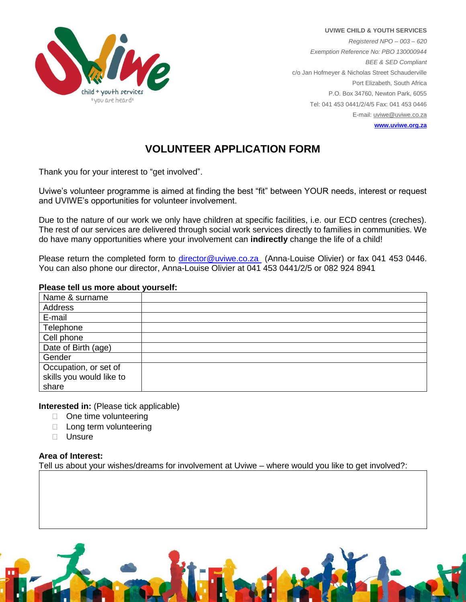

**UVIWE CHILD & YOUTH SERVICES** *Registered NPO – 003 – 620 Exemption Reference No: PBO 130000944 BEE & SED Compliant* c/o Jan Hofmeyer & Nicholas Street Schauderville Port Elizabeth, South Africa P.O. Box 34760, Newton Park, 6055 Tel: 041 453 0441/2/4/5 Fax: 041 453 0446 E-mail[: uviwe@uviwe.co.za](mailto:uviwe@uviwe.co.za) **[www.uviwe.org.za](http://www.uviwe.org.za/)**

# **VOLUNTEER APPLICATION FORM**

Thank you for your interest to "get involved".

Uviwe's volunteer programme is aimed at finding the best "fit" between YOUR needs, interest or request and UVIWE's opportunities for volunteer involvement.

Due to the nature of our work we only have children at specific facilities, i.e. our ECD centres (creches). The rest of our services are delivered through social work services directly to families in communities. We do have many opportunities where your involvement can **indirectly** change the life of a child!

Please return the completed form to *director@uviwe.co.za* (Anna-Louise Olivier) or fax 041 453 0446. You can also phone our director, Anna-Louise Olivier at 041 453 0441/2/5 or 082 924 8941

### **Please tell us more about yourself:**

| Name & surname           |  |
|--------------------------|--|
| Address                  |  |
| E-mail                   |  |
| Telephone                |  |
| Cell phone               |  |
| Date of Birth (age)      |  |
| Gender                   |  |
| Occupation, or set of    |  |
| skills you would like to |  |
| share                    |  |

**Interested in:** (Please tick applicable)

- $\Box$  One time volunteering
- □ Long term volunteering
- $\Box$  Unsure

#### **Area of Interest:**

Tell us about your wishes/dreams for involvement at Uviwe – where would you like to get involved?: